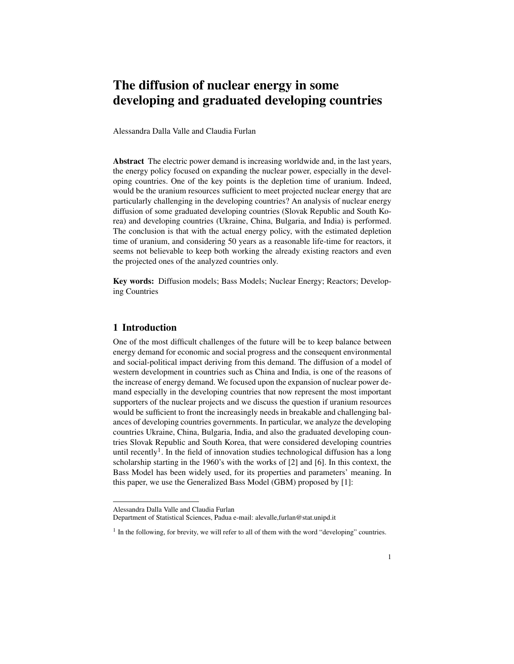# The diffusion of nuclear energy in some developing and graduated developing countries

Alessandra Dalla Valle and Claudia Furlan

Abstract The electric power demand is increasing worldwide and, in the last years, the energy policy focused on expanding the nuclear power, especially in the developing countries. One of the key points is the depletion time of uranium. Indeed, would be the uranium resources sufficient to meet projected nuclear energy that are particularly challenging in the developing countries? An analysis of nuclear energy diffusion of some graduated developing countries (Slovak Republic and South Korea) and developing countries (Ukraine, China, Bulgaria, and India) is performed. The conclusion is that with the actual energy policy, with the estimated depletion time of uranium, and considering 50 years as a reasonable life-time for reactors, it seems not believable to keep both working the already existing reactors and even the projected ones of the analyzed countries only.

Key words: Diffusion models; Bass Models; Nuclear Energy; Reactors; Developing Countries

## 1 Introduction

One of the most difficult challenges of the future will be to keep balance between energy demand for economic and social progress and the consequent environmental and social-political impact deriving from this demand. The diffusion of a model of western development in countries such as China and India, is one of the reasons of the increase of energy demand. We focused upon the expansion of nuclear power demand especially in the developing countries that now represent the most important supporters of the nuclear projects and we discuss the question if uranium resources would be sufficient to front the increasingly needs in breakable and challenging balances of developing countries governments. In particular, we analyze the developing countries Ukraine, China, Bulgaria, India, and also the graduated developing countries Slovak Republic and South Korea, that were considered developing countries until recently<sup>1</sup>. In the field of innovation studies technological diffusion has a long scholarship starting in the 1960's with the works of [2] and [6]. In this context, the Bass Model has been widely used, for its properties and parameters' meaning. In this paper, we use the Generalized Bass Model (GBM) proposed by [1]:

Alessandra Dalla Valle and Claudia Furlan

Department of Statistical Sciences, Padua e-mail: alevalle,furlan@stat.unipd.it

 $<sup>1</sup>$  In the following, for brevity, we will refer to all of them with the word "developing" countries.</sup>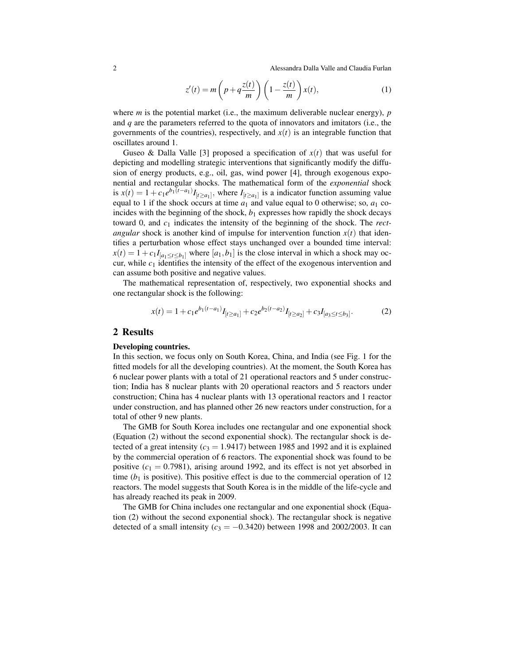2 Alessandra Dalla Valle and Claudia Furlan

$$
z'(t) = m\left(p + q\frac{z(t)}{m}\right)\left(1 - \frac{z(t)}{m}\right)x(t),\tag{1}
$$

where *m* is the potential market (i.e., the maximum deliverable nuclear energy), *p* and *q* are the parameters referred to the quota of innovators and imitators (i.e., the governments of the countries), respectively, and  $x(t)$  is an integrable function that oscillates around 1.

Guseo & Dalla Valle [3] proposed a specification of  $x(t)$  that was useful for depicting and modelling strategic interventions that significantly modify the diffusion of energy products, e.g., oil, gas, wind power [4], through exogenous exponential and rectangular shocks. The mathematical form of the *exponential* shock is  $x(t) = 1 + c_1 e^{b_1(t-a_1)} I_{[t \ge a_1]}$ , where  $I_{[t \ge a_1]}$  is a indicator function assuming value equal to 1 if the shock occurs at time  $a_1$  and value equal to 0 otherwise; so,  $a_1$  coincides with the beginning of the shock,  $b_1$  expresses how rapidly the shock decays toward 0, and *c*<sup>1</sup> indicates the intensity of the beginning of the shock. The *rectangular* shock is another kind of impulse for intervention function  $x(t)$  that identifies a perturbation whose effect stays unchanged over a bounded time interval:  $x(t) = 1 + c_1 I_{[a_1 \le t \le b_1]}$  where  $[a_1, b_1]$  is the close interval in which a shock may occur, while *c*<sup>1</sup> identifies the intensity of the effect of the exogenous intervention and can assume both positive and negative values.

The mathematical representation of, respectively, two exponential shocks and one rectangular shock is the following:

$$
x(t) = 1 + c_1 e^{b_1(t-a_1)} I_{[t \ge a_1]} + c_2 e^{b_2(t-a_2)} I_{[t \ge a_2]} + c_3 I_{[a_3 \le t \le b_3]}.
$$
 (2)

## 2 Results

#### Developing countries.

In this section, we focus only on South Korea, China, and India (see Fig. 1 for the fitted models for all the developing countries). At the moment, the South Korea has 6 nuclear power plants with a total of 21 operational reactors and 5 under construction; India has 8 nuclear plants with 20 operational reactors and 5 reactors under construction; China has 4 nuclear plants with 13 operational reactors and 1 reactor under construction, and has planned other 26 new reactors under construction, for a total of other 9 new plants.

The GMB for South Korea includes one rectangular and one exponential shock (Equation (2) without the second exponential shock). The rectangular shock is detected of a great intensity  $(c_3 = 1.9417)$  between 1985 and 1992 and it is explained by the commercial operation of 6 reactors. The exponential shock was found to be positive  $(c_1 = 0.7981)$ , arising around 1992, and its effect is not yet absorbed in time  $(b_1)$  is positive). This positive effect is due to the commercial operation of 12 reactors. The model suggests that South Korea is in the middle of the life-cycle and has already reached its peak in 2009.

The GMB for China includes one rectangular and one exponential shock (Equation (2) without the second exponential shock). The rectangular shock is negative detected of a small intensity ( $c_3 = -0.3420$ ) between 1998 and 2002/2003. It can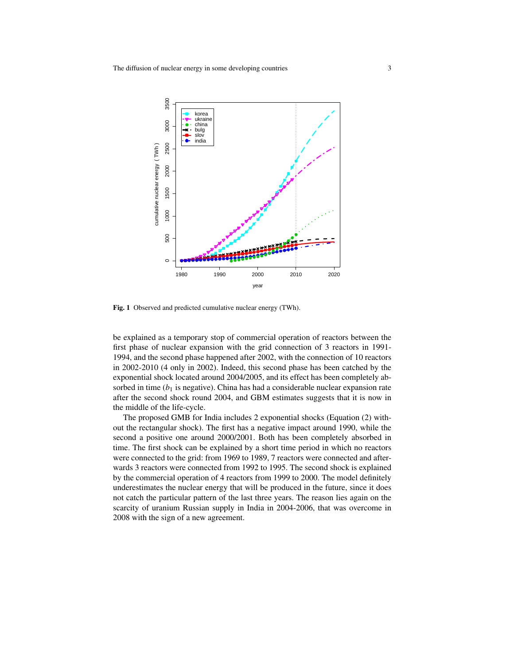

Fig. 1 Observed and predicted cumulative nuclear energy (TWh).

be explained as a temporary stop of commercial operation of reactors between the first phase of nuclear expansion with the grid connection of 3 reactors in 1991- 1994, and the second phase happened after 2002, with the connection of 10 reactors in 2002-2010 (4 only in 2002). Indeed, this second phase has been catched by the exponential shock located around 2004/2005, and its effect has been completely absorbed in time  $(b_1)$  is negative). China has had a considerable nuclear expansion rate after the second shock round 2004, and GBM estimates suggests that it is now in the middle of the life-cycle.

The proposed GMB for India includes 2 exponential shocks (Equation (2) without the rectangular shock). The first has a negative impact around 1990, while the second a positive one around 2000/2001. Both has been completely absorbed in time. The first shock can be explained by a short time period in which no reactors were connected to the grid: from 1969 to 1989, 7 reactors were connected and afterwards 3 reactors were connected from 1992 to 1995. The second shock is explained by the commercial operation of 4 reactors from 1999 to 2000. The model definitely underestimates the nuclear energy that will be produced in the future, since it does not catch the particular pattern of the last three years. The reason lies again on the scarcity of uranium Russian supply in India in 2004-2006, that was overcome in 2008 with the sign of a new agreement.